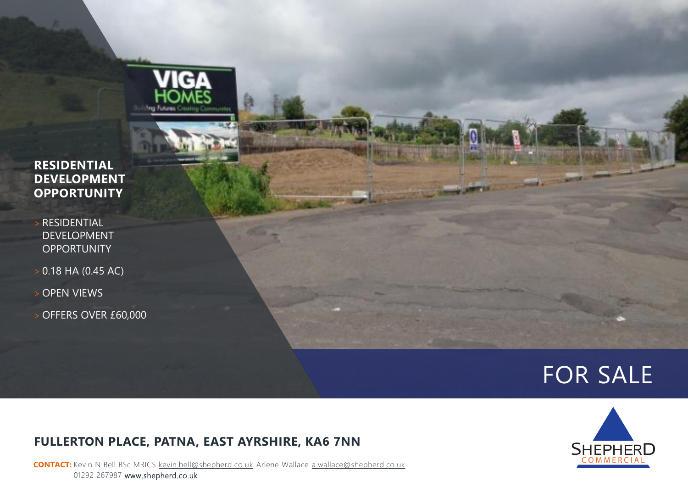

# **RESIDENTIAL DEVELOPMENT OPPORTUNITY**

> RESIDENTIAL DEVELOPMENT **OPPORTUNITY** 

> 0.18 HA (0.45 AC)

> OPEN VIEWS

> OFFERS OVER £60,000

# FOR SALE



# **FULLERTON PLACE, PATNA, EAST AYRSHIRE, KA6 7NN**

**CONTACT:** Kevin N Bell BSc MRICS [kevin.bell@shepherd.co.uk](mailto:kevin.bell@shepherd.co.uk) Arlene Wallace [a.wallace@shepherd.co.uk](mailto:a.Wallace@shepherd.co.uk) 01292 267987 www.shepherd.co.uk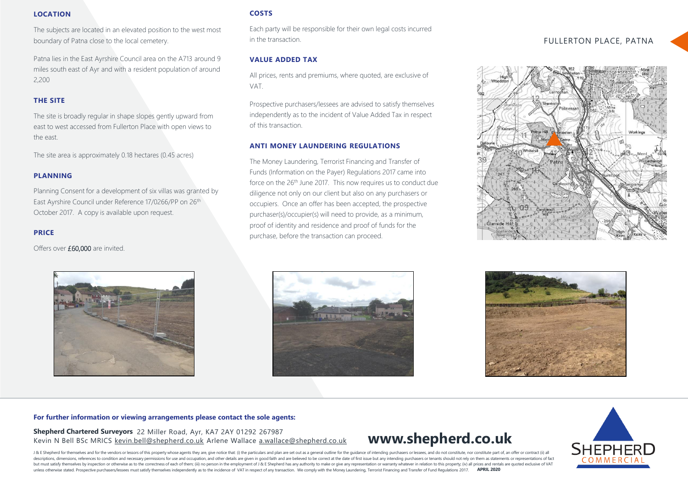## **LOCATION**

The subjects are located in an elevated position to the west most boundary of Patna close to the local cemetery.

Patna lies in the East Ayrshire Council area on the A713 around 9 miles south east of Ayr and with a resident population of around 2,200

# **THE SITE**

The site is broadly regular in shape slopes gently upward from east to west accessed from Fullerton Place with open views to the east.

The site area is approximately 0.18 hectares (0.45 acres)

### **PLANNING**

Planning Consent for a development of six villas was granted by East Ayrshire Council under Reference 17/0266/PP on 26th October 2017. A copy is available upon request.

## **PRICE**

Offers over £60,000 are invited.

## **COSTS**

Each party will be responsible for their own legal costs incurred in the transaction.

## **VALUE ADDED TAX**

All prices, rents and premiums, where quoted, are exclusive of VAT.

Prospective purchasers/lessees are advised to satisfy themselves independently as to the incident of Value Added Tax in respect of this transaction.

## **ANTI MONEY LAUNDERING REGULATIONS**

The Money Laundering, Terrorist Financing and Transfer of Funds (Information on the Payer) Regulations 2017 came into force on the 26<sup>th</sup> June 2017. This now requires us to conduct due diligence not only on our client but also on any purchasers or occupiers. Once an offer has been accepted, the prospective purchaser(s)/occupier(s) will need to provide, as a minimum, proof of identity and residence and proof of funds for the purchase, before the transaction can proceed.











#### **For further information or viewing arrangements please contact the sole agents:**

Shepherd Chartered Surveyors 22 Miller Road, Ayr, KA7 2AY 01292 267987 Kevin N Bell BSc MRICS [kevin.bell@shepherd.co.uk](mailto:kevin.bell@shepherd.co.uk) Arlene Wallace [a.wallace@shepherd.co.uk](mailto:a.wallace@shepherd.co.uk)

# **www.shepherd.co.uk**



J & E Shepherd for themselves and for the vendors or lessors of this property whose agents they are, give notice that. (i) the particulars and plan are set out as a general outline for the quidance of intending purchasers descriptions, dimensions, references to condition and necessary permissions for use and occupation, and other details are qiven in good faith and are believed to be correct at the date of first issue but any intending purc but must satisfy themselves by inspection or otherwise as to the correctness of each of them; (iii) no person in the employment of J & E Shepherd has any authority to make or give any representation or warranty whatever in unless otherwise stated. Prospective purchasers/lessees must satisfy themselves independently as to the incidence of VAT in respect of any transaction. We comply with the Money Laundering, Terrorist Financing and Transfer